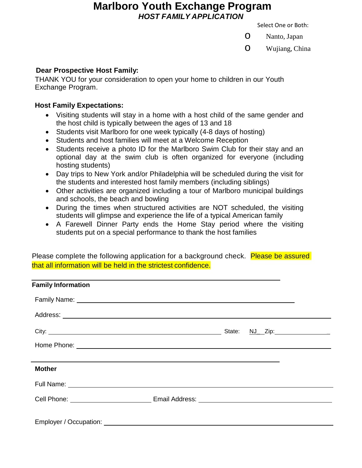# **Marlboro Youth Exchange Program** *HOST FAMILY APPLICATION*

Select One or Both:

**O** Nanto, Japan

o Wujiang, China

# **Dear Prospective Host Family:**

THANK YOU for your consideration to open your home to children in our Youth Exchange Program.

# **Host Family Expectations:**

- Visiting students will stay in a home with a host child of the same gender and the host child is typically between the ages of 13 and 18
- Students visit Marlboro for one week typically (4-8 days of hosting)
- Students and host families will meet at a Welcome Reception
- Students receive a photo ID for the Marlboro Swim Club for their stay and an optional day at the swim club is often organized for everyone (including hosting students)
- Day trips to New York and/or Philadelphia will be scheduled during the visit for the students and interested host family members (including siblings)
- Other activities are organized including a tour of Marlboro municipal buildings and schools, the beach and bowling
- During the times when structured activities are NOT scheduled, the visiting students will glimpse and experience the life of a typical American family
- A Farewell Dinner Party ends the Home Stay period where the visiting students put on a special performance to thank the host families

Please complete the following application for a background check. Please be assured that all information will be held in the strictest confidence.

| <b>Family Information</b> |  |  |
|---------------------------|--|--|
|                           |  |  |
|                           |  |  |
|                           |  |  |
|                           |  |  |
|                           |  |  |
| <b>Mother</b>             |  |  |
|                           |  |  |
|                           |  |  |
|                           |  |  |
| Employer / Occupation:    |  |  |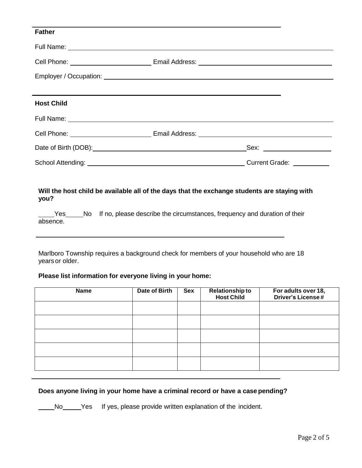| <b>Father</b>     |  |
|-------------------|--|
|                   |  |
|                   |  |
|                   |  |
|                   |  |
| <b>Host Child</b> |  |
|                   |  |
|                   |  |
|                   |  |
|                   |  |

School Attending: Current Grade:

## **Will the host child be available all of the days that the exchange students are staying with you?**

Yes No If no, please describe the circumstances, frequency and duration of their absence.

Marlboro Township requires a background check for members of your household who are 18 years or older.

#### **Please list information for everyone living in your home:**

| <b>Name</b> | <b>Date of Birth</b> | <b>Sex</b> | <b>Relationship to</b><br><b>Host Child</b> | For adults over 18,<br><b>Driver's License#</b> |
|-------------|----------------------|------------|---------------------------------------------|-------------------------------------------------|
|             |                      |            |                                             |                                                 |
|             |                      |            |                                             |                                                 |
|             |                      |            |                                             |                                                 |
|             |                      |            |                                             |                                                 |
|             |                      |            |                                             |                                                 |

#### **Does anyone living in your home have a criminal record or have a case pending?**

No Yes If yes, please provide written explanation of the incident.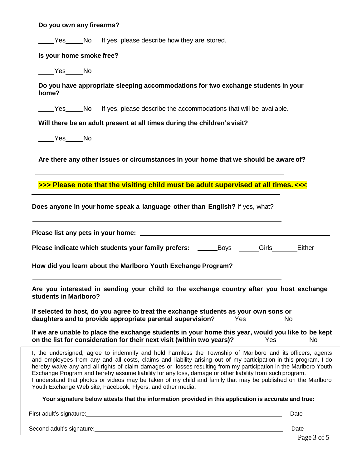| Do you own any firearms?                                                                                                                                                                                                                                                                                                                                                                                                                                                                                                                                                                                                                     |  |  |  |  |
|----------------------------------------------------------------------------------------------------------------------------------------------------------------------------------------------------------------------------------------------------------------------------------------------------------------------------------------------------------------------------------------------------------------------------------------------------------------------------------------------------------------------------------------------------------------------------------------------------------------------------------------------|--|--|--|--|
| Yes No If yes, please describe how they are stored.                                                                                                                                                                                                                                                                                                                                                                                                                                                                                                                                                                                          |  |  |  |  |
| Is your home smoke free?                                                                                                                                                                                                                                                                                                                                                                                                                                                                                                                                                                                                                     |  |  |  |  |
| ________________No                                                                                                                                                                                                                                                                                                                                                                                                                                                                                                                                                                                                                           |  |  |  |  |
| Do you have appropriate sleeping accommodations for two exchange students in your<br>home?                                                                                                                                                                                                                                                                                                                                                                                                                                                                                                                                                   |  |  |  |  |
| Yes No If yes, please describe the accommodations that will be available.                                                                                                                                                                                                                                                                                                                                                                                                                                                                                                                                                                    |  |  |  |  |
| Will there be an adult present at all times during the children's visit?                                                                                                                                                                                                                                                                                                                                                                                                                                                                                                                                                                     |  |  |  |  |
| _________________No                                                                                                                                                                                                                                                                                                                                                                                                                                                                                                                                                                                                                          |  |  |  |  |
| Are there any other issues or circumstances in your home that we should be aware of?                                                                                                                                                                                                                                                                                                                                                                                                                                                                                                                                                         |  |  |  |  |
| >>> Please note that the visiting child must be adult supervised at all times. <<<                                                                                                                                                                                                                                                                                                                                                                                                                                                                                                                                                           |  |  |  |  |
| Does anyone in your home speak a language other than English? If yes, what?                                                                                                                                                                                                                                                                                                                                                                                                                                                                                                                                                                  |  |  |  |  |
|                                                                                                                                                                                                                                                                                                                                                                                                                                                                                                                                                                                                                                              |  |  |  |  |
| <b>Please indicate which students your family prefers:</b> _________Boys _______Girls________Either                                                                                                                                                                                                                                                                                                                                                                                                                                                                                                                                          |  |  |  |  |
| How did you learn about the Marlboro Youth Exchange Program?                                                                                                                                                                                                                                                                                                                                                                                                                                                                                                                                                                                 |  |  |  |  |
| Are you interested in sending your child to the exchange country after you host exchange<br>students in Marlboro?                                                                                                                                                                                                                                                                                                                                                                                                                                                                                                                            |  |  |  |  |
| If selected to host, do you agree to treat the exchange students as your own sons or<br>daughters and to provide appropriate parental supervision?<br>Yes<br><b>Simple Street Advanced Street</b>                                                                                                                                                                                                                                                                                                                                                                                                                                            |  |  |  |  |
| If we are unable to place the exchange students in your home this year, would you like to be kept<br>on the list for consideration for their next visit (within two years)? _______ Yes _____<br><b>No</b>                                                                                                                                                                                                                                                                                                                                                                                                                                   |  |  |  |  |
| I, the undersigned, agree to indemnify and hold harmless the Township of Marlboro and its officers, agents<br>and employees from any and all costs, claims and liability arising out of my participation in this program. I do<br>hereby waive any and all rights of claim damages or losses resulting from my participation in the Marlboro Youth<br>Exchange Program and hereby assume liability for any loss, damage or other liability from such program.<br>I understand that photos or videos may be taken of my child and family that may be published on the Marlboro<br>Youth Exchange Web site, Facebook, Flyers, and other media. |  |  |  |  |

**Your signature below attests that the information provided in this application is accurate and true:**

First adult's signature: Date

Second adult's signature: Date Date Construction and adult's signature:

Page 3 of 5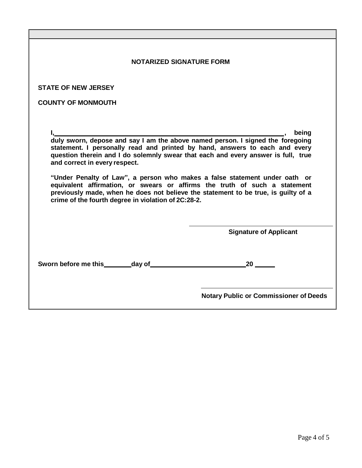| <b>NOTARIZED SIGNATURE FORM</b>                                                                                                                                                                                                                                                                                                                                                                                                                                                                                                                                                                             |                                               |  |  |  |
|-------------------------------------------------------------------------------------------------------------------------------------------------------------------------------------------------------------------------------------------------------------------------------------------------------------------------------------------------------------------------------------------------------------------------------------------------------------------------------------------------------------------------------------------------------------------------------------------------------------|-----------------------------------------------|--|--|--|
| <b>STATE OF NEW JERSEY</b>                                                                                                                                                                                                                                                                                                                                                                                                                                                                                                                                                                                  |                                               |  |  |  |
| <b>COUNTY OF MONMOUTH</b>                                                                                                                                                                                                                                                                                                                                                                                                                                                                                                                                                                                   |                                               |  |  |  |
| I, I, being<br>duly sworn, depose and say I am the above named person. I signed the foregoing<br>statement. I personally read and printed by hand, answers to each and every<br>question therein and I do solemnly swear that each and every answer is full, true<br>and correct in every respect.<br>"Under Penalty of Law", a person who makes a false statement under oath or<br>equivalent affirmation, or swears or affirms the truth of such a statement<br>previously made, when he does not believe the statement to be true, is guilty of a<br>crime of the fourth degree in violation of 2C:28-2. |                                               |  |  |  |
|                                                                                                                                                                                                                                                                                                                                                                                                                                                                                                                                                                                                             | <b>Signature of Applicant</b>                 |  |  |  |
| Sworn before me this________day of____                                                                                                                                                                                                                                                                                                                                                                                                                                                                                                                                                                      | 20                                            |  |  |  |
|                                                                                                                                                                                                                                                                                                                                                                                                                                                                                                                                                                                                             | <b>Notary Public or Commissioner of Deeds</b> |  |  |  |

 $\overline{\mathbb{I}}$